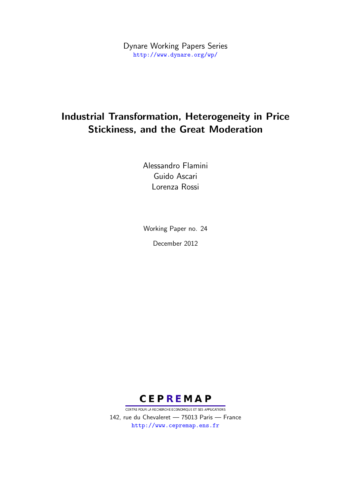Dynare Working Papers Series <http://www.dynare.org/wp/>

# Industrial Transformation, Heterogeneity in Price Stickiness, and the Great Moderation

Alessandro Flamini Guido Ascari Lorenza Rossi

Working Paper no. 24 December 2012



CENTRE POUR LA RECHERCHE ECONOMIQUE ET SES APPLICATIONS 142, rue du Chevaleret — 75013 Paris — France <http://www.cepremap.ens.fr>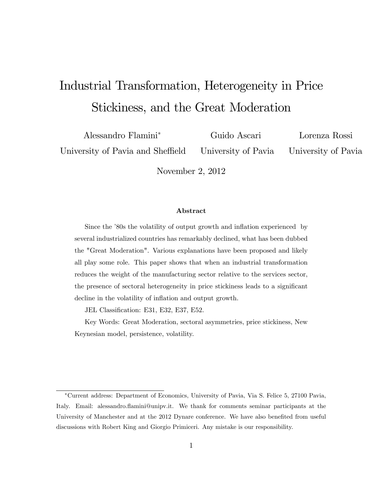# Industrial Transformation, Heterogeneity in Price Stickiness, and the Great Moderation

Alessandro Flamini<sup>\*</sup> Guido Ascari Lorenza Rossi University of Pavia and Sheffield University of Pavia University of Pavia

November 2, 2012

#### Abstract

Since the '80s the volatility of output growth and inflation experienced by several industrialized countries has remarkably declined, what has been dubbed the "Great Moderation". Various explanations have been proposed and likely all play some role. This paper shows that when an industrial transformation reduces the weight of the manufacturing sector relative to the services sector, the presence of sectoral heterogeneity in price stickiness leads to a significant decline in the volatility of inflation and output growth.

JEL Classification: E31, E32, E37, E52.

Key Words: Great Moderation, sectoral asymmetries, price stickiness, New Keynesian model, persistence, volatility.

Current address: Department of Economics, University of Pavia, Via S. Felice 5, 27100 Pavia, Italy. Email: alessandro.flamini@unipv.it. We thank for comments seminar participants at the University of Manchester and at the 2012 Dynare conference. We have also benefited from useful discussions with Robert King and Giorgio Primiceri. Any mistake is our responsibility.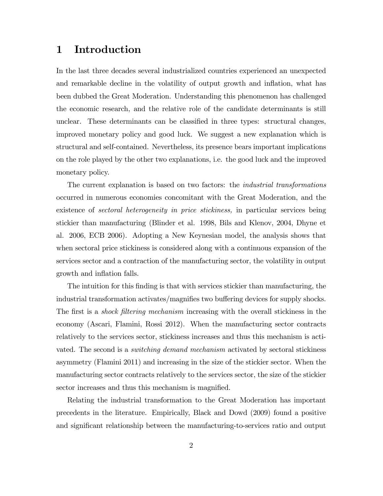## 1 Introduction

In the last three decades several industrialized countries experienced an unexpected and remarkable decline in the volatility of output growth and inflation, what has been dubbed the Great Moderation. Understanding this phenomenon has challenged the economic research, and the relative role of the candidate determinants is still unclear. These determinants can be classified in three types: structural changes, improved monetary policy and good luck. We suggest a new explanation which is structural and self-contained. Nevertheless, its presence bears important implications on the role played by the other two explanations, i.e. the good luck and the improved monetary policy.

The current explanation is based on two factors: the industrial transformations occurred in numerous economies concomitant with the Great Moderation, and the existence of *sectoral heterogeneity in price stickiness*, in particular services being stickier than manufacturing (Blinder et al. 1998, Bils and Klenov, 2004, Dhyne et al. 2006, ECB 2006). Adopting a New Keynesian model, the analysis shows that when sectoral price stickiness is considered along with a continuous expansion of the services sector and a contraction of the manufacturing sector, the volatility in output growth and inflation falls.

The intuition for this finding is that with services stickier than manufacturing, the industrial transformation activates/magnifies two buffering devices for supply shocks. The first is a *shock filtering mechanism* increasing with the overall stickiness in the economy (Ascari, Flamini, Rossi 2012). When the manufacturing sector contracts relatively to the services sector, stickiness increases and thus this mechanism is activated. The second is a *switching demand mechanism* activated by sectoral stickiness asymmetry (Flamini 2011) and increasing in the size of the stickier sector. When the manufacturing sector contracts relatively to the services sector, the size of the stickier sector increases and thus this mechanism is magnified.

Relating the industrial transformation to the Great Moderation has important precedents in the literature. Empirically, Black and Dowd (2009) found a positive and significant relationship between the manufacturing-to-services ratio and output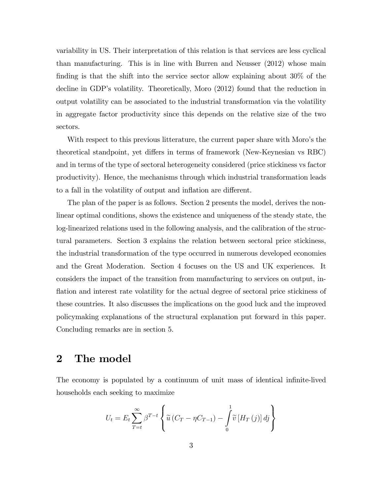variability in US. Their interpretation of this relation is that services are less cyclical than manufacturing. This is in line with Burren and Neusser (2012) whose main finding is that the shift into the service sector allow explaining about  $30\%$  of the decline in GDP's volatility. Theoretically, Moro (2012) found that the reduction in output volatility can be associated to the industrial transformation via the volatility in aggregate factor productivity since this depends on the relative size of the two sectors.

With respect to this previous litterature, the current paper share with Moro's the theoretical standpoint, yet differs in terms of framework (New-Keynesian vs RBC) and in terms of the type of sectoral heterogeneity considered (price stickiness vs factor productivity). Hence, the mechanisms through which industrial transformation leads to a fall in the volatility of output and inflation are different.

The plan of the paper is as follows. Section 2 presents the model, derives the nonlinear optimal conditions, shows the existence and uniqueness of the steady state, the log-linearized relations used in the following analysis, and the calibration of the structural parameters. Section 3 explains the relation between sectoral price stickiness, the industrial transformation of the type occurred in numerous developed economies and the Great Moderation. Section 4 focuses on the US and UK experiences. It considers the impact of the transition from manufacturing to services on output, inflation and interest rate volatility for the actual degree of sectoral price stickiness of these countries. It also discusses the implications on the good luck and the improved policymaking explanations of the structural explanation put forward in this paper. Concluding remarks are in section 5.

## 2 The model

The economy is populated by a continuum of unit mass of identical infinite-lived households each seeking to maximize

$$
U_t = E_t \sum_{T=t}^{\infty} \beta^{T-t} \left\{ \tilde{u} \left( C_T - \eta C_{T-1} \right) - \int_0^1 \tilde{v} \left[ H_T \left( j \right) \right] dj \right\}
$$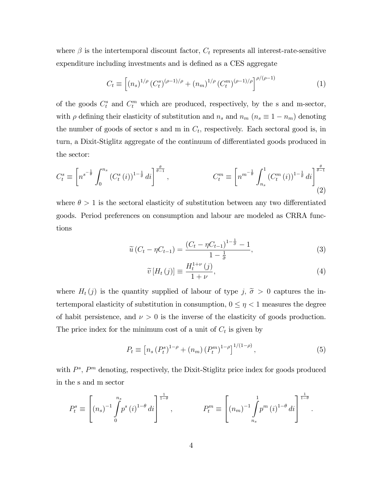where  $\beta$  is the intertemporal discount factor,  $C_t$  represents all interest-rate-sensitive expenditure including investments and is defined as a CES aggregate

$$
C_t \equiv \left[ (n_s)^{1/\rho} \left( C_t^s \right)^{(\rho - 1)/\rho} + (n_m)^{1/\rho} \left( C_t^m \right)^{(\rho - 1)/\rho} \right]^{\rho/(\rho - 1)}
$$
(1)

of the goods  $C_t^s$  and  $C_t^m$  which are produced, respectively, by the s and m-sector, with  $\rho$  defining their elasticity of substitution and  $n_s$  and  $n_m$  ( $n_s \equiv 1 - n_m$ ) denoting the number of goods of sector s and m in  $C_t$ , respectively. Each sectoral good is, in turn, a Dixit-Stiglitz aggregate of the continuum of differentiated goods produced in the sector:

$$
C_t^s \equiv \left[ n^{s^{-\frac{1}{\theta}}} \int_0^{n_s} (C_t^s(i))^{1-\frac{1}{\theta}} di \right]^{\frac{\theta}{\theta-1}}, \qquad \qquad C_t^m \equiv \left[ n^{m^{-\frac{1}{\theta}}} \int_{n_s}^1 (C_t^m(i))^{1-\frac{1}{\theta}} di \right]^{\frac{\theta}{\theta-1}} \tag{2}
$$

where  $\theta > 1$  is the sectoral elasticity of substitution between any two differentiated goods. Period preferences on consumption and labour are modeled as CRRA functions

$$
\widetilde{u}\left(C_{t} - \eta C_{t-1}\right) = \frac{\left(C_{t} - \eta C_{t-1}\right)^{1-\frac{1}{\widetilde{\sigma}}} - 1}{1-\frac{1}{\widetilde{\sigma}}},\tag{3}
$$

$$
\widetilde{v}[H_t(j)] \equiv \frac{H_t^{1+\nu}(j)}{1+\nu},\tag{4}
$$

where  $H_t(j)$  is the quantity supplied of labour of type j,  $\tilde{\sigma} > 0$  captures the intertemporal elasticity of substitution in consumption,  $0 \leq \eta < 1$  measures the degree of habit persistence, and  $\nu > 0$  is the inverse of the elasticity of goods production. The price index for the minimum cost of a unit of  $C_t$  is given by

$$
P_t \equiv \left[ n_s \left( P_t^s \right)^{1-\rho} + (n_m) \left( P_t^m \right)^{1-\rho} \right]^{1/(1-\rho)}, \tag{5}
$$

with  $P^s$ ,  $P^m$  denoting, respectively, the Dixit-Stiglitz price index for goods produced in the s and m sector

$$
P_t^s \equiv \left[ (n_s)^{-1} \int_0^{n_s} p^s (i)^{1-\theta} \, di \right]^{\frac{1}{1-\theta}}, \qquad P_t^m \equiv \left[ (n_m)^{-1} \int_{n_s}^1 p^m (i)^{1-\theta} \, di \right]^{\frac{1}{1-\theta}}.
$$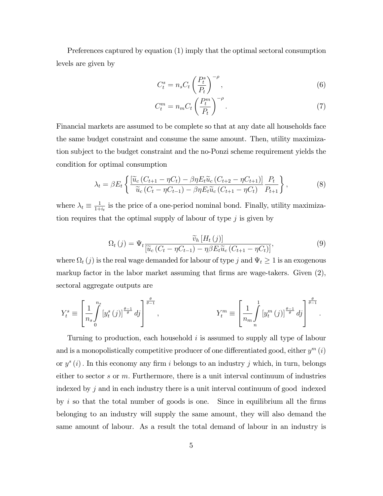Preferences captured by equation (1) imply that the optimal sectoral consumption levels are given by

$$
C_t^s = n_s C_t \left(\frac{P_t^s}{P_t}\right)^{-\rho},\tag{6}
$$

$$
C_t^m = n_m C_t \left(\frac{P_t^m}{P_t}\right)^{-\rho}.\tag{7}
$$

Financial markets are assumed to be complete so that at any date all households face the same budget constraint and consume the same amount. Then, utility maximization subject to the budget constraint and the no-Ponzi scheme requirement yields the condition for optimal consumption

$$
\lambda_t = \beta E_t \left\{ \frac{\left[\widetilde{u}_c \left(C_{t+1} - \eta C_t\right) - \beta \eta E_t \widetilde{u}_c \left(C_{t+2} - \eta C_{t+1}\right)\right]}{\widetilde{u}_c \left(C_t - \eta C_{t-1}\right) - \beta \eta E_t \widetilde{u}_c \left(C_{t+1} - \eta C_t\right)} \frac{P_t}{P_{t+1}} \right\},\tag{8}
$$

where  $\lambda_t \equiv \frac{1}{1+1}$  $\frac{1}{1+i_t}$  is the price of a one-period nominal bond. Finally, utility maximization requires that the optimal supply of labour of type  $j$  is given by

$$
\Omega_t(j) = \Psi_t \frac{\widetilde{v}_h \left[ H_t(j) \right]}{\left[ \widetilde{u}_c \left( C_t - \eta C_{t-1} \right) - \eta \beta E_t \widetilde{u}_c \left( C_{t+1} - \eta C_t \right) \right]},\tag{9}
$$

where  $\Omega_t(j)$  is the real wage demanded for labour of type j and  $\Psi_t \ge 1$  is an exogenous markup factor in the labor market assuming that firms are wage-takers. Given  $(2)$ , sectoral aggregate outputs are

$$
Y_t^s \equiv \left[\frac{1}{n_s} \int_0^{n_s} \left[y_t^s(j)\right]^{\frac{\theta-1}{\theta}} dj\right]^{\frac{\theta}{\theta-1}}, \qquad Y_t^m \equiv \left[\frac{1}{n_m} \int_n^1 \left[y_t^m(j)\right]^{\frac{\theta-1}{\theta}} dj\right]^{\frac{\theta}{\theta-1}}.
$$

Turning to production, each household i is assumed to supply all type of labour and is a monopolistically competitive producer of one differentiated good, either  $y^m(i)$ or  $y^s(i)$ . In this economy any firm i belongs to an industry j which, in turn, belongs either to sector s or  $m$ . Furthermore, there is a unit interval continuum of industries indexed by  $j$  and in each industry there is a unit interval continuum of good indexed by i so that the total number of goods is one. Since in equilibrium all the firms belonging to an industry will supply the same amount, they will also demand the same amount of labour. As a result the total demand of labour in an industry is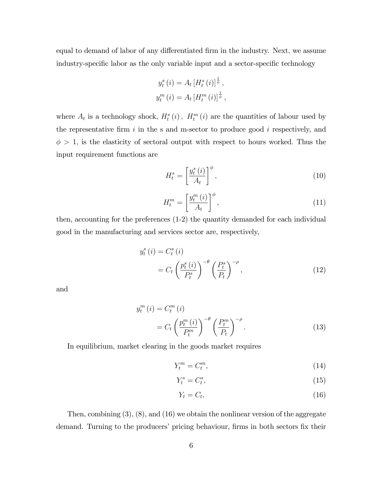equal to demand of labor of any differentiated firm in the industry. Next, we assume industry-specific labor as the only variable input and a sector-specific technology

$$
y_t^s(i) = A_t [H_t^s(i)]^{\frac{1}{\phi}},
$$
  

$$
y_t^m(i) = A_t [H_t^m(i)]^{\frac{1}{\phi}},
$$

where  $A_t$  is a technology shock,  $H_t^s(i)$ ,  $H_t^m(i)$  are the quantities of labour used by the representative firm  $i$  in the s and m-sector to produce good  $i$  respectively, and  $\phi > 1$ , is the elasticity of sectoral output with respect to hours worked. Thus the input requirement functions are

$$
H_t^s = \left[\frac{y_t^s(i)}{A_t}\right]^\phi,\tag{10}
$$

$$
H_t^m = \left[\frac{y_t^m(i)}{A_t}\right]^\phi,\tag{11}
$$

then, accounting for the preferences (1-2) the quantity demanded for each individual good in the manufacturing and services sector are, respectively,

$$
y_t^s(i) = C_t^s(i)
$$
  
=  $C_t \left(\frac{p_t^s(i)}{P_t^s}\right)^{-\theta} \left(\frac{P_t^s}{P_t}\right)^{-\rho},$  (12)

and

$$
y_t^m(i) = C_t^m(i)
$$
  
=  $C_t \left(\frac{p_t^m(i)}{P_t^m}\right)^{-\theta} \left(\frac{P_t^m}{P_t}\right)^{-\rho}$ . (13)

In equilibrium, market clearing in the goods market requires

$$
Y_t^m = C_t^m,\tag{14}
$$

$$
Y_t^s = C_t^s,\tag{15}
$$

$$
Y_t = C_t,\tag{16}
$$

Then, combining (3), (8), and (16) we obtain the nonlinear version of the aggregate demand. Turning to the producers' pricing behaviour, firms in both sectors fix their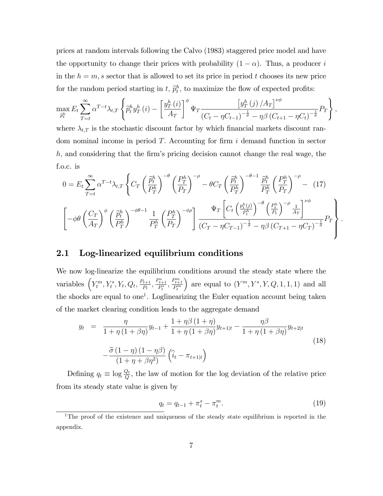prices at random intervals following the Calvo (1983) staggered price model and have the opportunity to change their prices with probability  $(1 - \alpha)$ . Thus, a producer i in the  $h = m$ , s sector that is allowed to set its price in period t chooses its new price for the random period starting in  $t$ ,  $\tilde{p}_t^h$ , to maximize the flow of expected profits:

$$
\max_{\widetilde{p}_{t}^{h}} E_{t} \sum_{T=t}^{\infty} \alpha^{T-t} \lambda_{t,T} \left\{ \widetilde{p}_{t}^{h} y_{T}^{h} (i) - \left[ \frac{y_{T}^{h} (i)}{A_{T}} \right]^{\phi} \Psi_{T} \frac{\left[ y_{T}^{h} (j) / A_{T} \right]^{\nu \phi}}{\left( C_{t} - \eta C_{t-1} \right)^{-\frac{1}{\overline{\phi}}} - \eta \beta \left( C_{t+1} - \eta C_{t} \right)^{-\frac{1}{\overline{\phi}}} P_{T} \right\},\right\}
$$

where  $\lambda_{t,T}$  is the stochastic discount factor by which financial markets discount random nominal income in period  $T$ . Accounting for firm  $i$  demand function in sector  $h$ , and considering that the firm's pricing decision cannot change the real wage, the f.o.c. is

$$
0 = E_t \sum_{T=t}^{\infty} \alpha^{T-t} \lambda_{t,T} \left\{ C_T \left( \frac{\tilde{p}_t^h}{P_T^h} \right)^{-\theta} \left( \frac{P_T^h}{P_T} \right)^{-\rho} - \theta C_T \left( \frac{\tilde{p}_t^h}{P_T^h} \right)^{-\theta-1} \frac{\tilde{p}_t^h}{P_T^h} \left( \frac{P_T^h}{P_T} \right)^{-\rho} - (17) \right\}
$$

$$
\left[ -\phi \theta \left( \frac{C_T}{A_T} \right)^{\phi} \left( \frac{\tilde{p}_t^h}{P_T^h} \right)^{-\phi\theta-1} \frac{1}{P_T^h} \left( \frac{P_T^h}{P_T} \right)^{-\phi\rho} \right] \frac{\Psi_T \left[ C_t \left( \frac{p_t^h(j)}{P_t^h} \right)^{-\theta} \left( \frac{P_t^h}{P_t} \right)^{-\rho} \frac{1}{A_T} \right]^{\nu\phi}}{(C_T - \eta C_{T-1})^{-\frac{1}{\sigma}} - \eta \beta \left( C_{T+1} - \eta C_T \right)^{-\frac{1}{\sigma}}} P_T \right\}.
$$

### 2.1 Log-linearized equilibrium conditions

We now log-linearize the equilibrium conditions around the steady state where the variables  $\left(Y_t^m, Y_t^s, Y_t, Q_t, \frac{P_{t+1}}{P_t}\right)$  $\frac{P_{t+1}}{P_t}, \frac{P_{t+1}^s}{P_t^s}, \frac{P_{t+1}^m}{P_t^m}$ ) are equal to  $(Y^m, Y^s, Y, Q, 1, 1, 1)$  and all the shocks are equal to one<sup>1</sup>. Loglinearizing the Euler equation account being taken of the market clearing condition leads to the aggregate demand

$$
y_{t} = \frac{\eta}{1 + \eta \left(1 + \beta \eta\right)} y_{t-1} + \frac{1 + \eta \beta \left(1 + \eta\right)}{1 + \eta \left(1 + \beta \eta\right)} y_{t+1|t} - \frac{\eta \beta}{1 + \eta \left(1 + \beta \eta\right)} y_{t+2|t}
$$
  

$$
-\frac{\widetilde{\sigma} \left(1 - \eta\right) \left(1 - \eta \beta\right)}{\left(1 + \eta + \beta \eta^{2}\right)} \left(\widehat{i}_{t} - \pi_{t+1|t}\right)
$$
(18)

Defining  $q_t \equiv \log \frac{Q_t}{Q}$ , the law of motion for the log deviation of the relative price from its steady state value is given by

$$
q_t = q_{t-1} + \pi_t^s - \pi_t^m.
$$
\n(19)

<sup>&</sup>lt;sup>1</sup>The proof of the existence and uniqueness of the steady state equilibrium is reported in the appendix.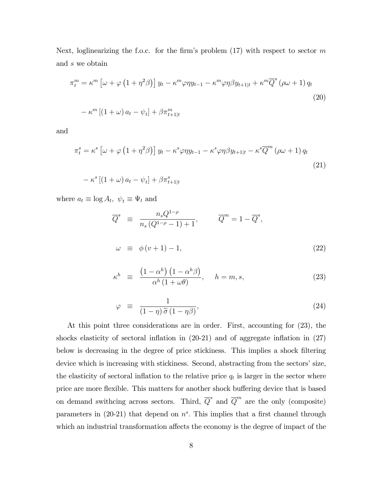Next, loglinearizing the f.o.c. for the firm's problem  $(17)$  with respect to sector m and s we obtain

$$
\pi_t^m = \kappa^m \left[ \omega + \varphi \left( 1 + \eta^2 \beta \right) \right] y_t - \kappa^m \varphi \eta y_{t-1} - \kappa^m \varphi \eta \beta y_{t+1|t} + \kappa^m \overline{Q}^s \left( \rho \omega + 1 \right) q_t
$$
  

$$
- \kappa^m \left[ \left( 1 + \omega \right) a_t - \psi_t \right] + \beta \pi_{t+1|t}^m
$$
 (20)

and

$$
\pi_t^s = \kappa^s \left[ \omega + \varphi \left( 1 + \eta^2 \beta \right) \right] y_t - \kappa^s \varphi \eta y_{t-1} - \kappa^s \varphi \eta \beta y_{t+1|t} - \kappa^s \overline{Q}^m \left( \rho \omega + 1 \right) q_t
$$
  

$$
- \kappa^s \left[ \left( 1 + \omega \right) a_t - \psi_t \right] + \beta \pi_{t+1|t}^s
$$
 (21)

where  $a_t \equiv \log A_t$ ,  $\psi_t \equiv \Psi_t$  and

$$
\overline{Q}^s \equiv \frac{n_s Q^{1-\rho}}{n_s (Q^{1-\rho}-1)+1}, \qquad \overline{Q}^m = 1 - \overline{Q}^s,
$$
  

$$
\omega \equiv \phi(v+1)-1,
$$
 (22)

$$
\kappa^{h} \equiv \frac{\left(1 - \alpha^{h}\right)\left(1 - \alpha^{h}\beta\right)}{\alpha^{h}\left(1 + \omega\theta\right)}, \quad h = m, s,
$$
\n(23)

$$
\varphi \equiv \frac{1}{(1-\eta)\widetilde{\sigma}(1-\eta\beta)},\tag{24}
$$

At this point three considerations are in order. First, accounting for (23), the shocks elasticity of sectoral inflation in  $(20-21)$  and of aggregate inflation in  $(27)$ below is decreasing in the degree of price stickiness. This implies a shock filtering device which is increasing with stickiness. Second, abstracting from the sectors' size, the elasticity of sectoral inflation to the relative price  $q_t$  is larger in the sector where price are more flexible. This matters for another shock buffering device that is based on demand swithcing across sectors. Third,  $\overline{Q}^s$  and  $\overline{Q}^m$  are the only (composite) parameters in  $(20-21)$  that depend on  $n<sup>s</sup>$ . This implies that a first channel through which an industrial transformation affects the economy is the degree of impact of the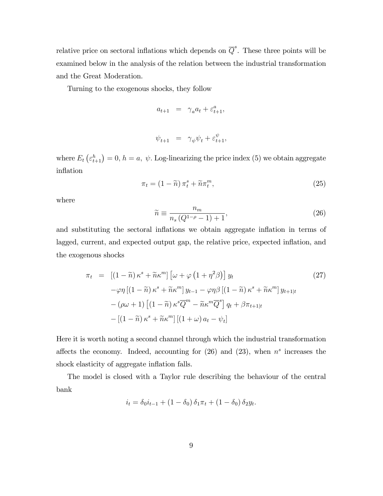relative price on sectoral inflations which depends on  $\overline{Q}^s$ . These three points will be examined below in the analysis of the relation between the industrial transformation and the Great Moderation.

Turning to the exogenous shocks, they follow

$$
a_{t+1} = \gamma_a a_t + \varepsilon_{t+1}^a,
$$

$$
\psi_{t+1} = \gamma_{\psi} \psi_t + \varepsilon_{t+1}^{\psi},
$$

where  $E_t\left(\varepsilon_{t+1}^h\right)=0, h=a, \psi$ . Log-linearizing the price index (5) we obtain aggregate inflation

$$
\pi_t = (1 - \widetilde{n}) \pi_t^s + \widetilde{n} \pi_t^m, \tag{25}
$$

where

$$
\widetilde{n} \equiv \frac{n_m}{n_s \left(Q^{1-\rho} - 1\right) + 1},\tag{26}
$$

and substituting the sectoral inflations we obtain aggregate inflation in terms of lagged, current, and expected output gap, the relative price, expected inflation, and the exogenous shocks

$$
\pi_t = \left[ (1 - \widetilde{n}) \kappa^s + \widetilde{n} \kappa^m \right] \left[ \omega + \varphi \left( 1 + \eta^2 \beta \right) \right] y_t
$$
\n
$$
- \varphi \eta \left[ (1 - \widetilde{n}) \kappa^s + \widetilde{n} \kappa^m \right] y_{t-1} - \varphi \eta \beta \left[ (1 - \widetilde{n}) \kappa^s + \widetilde{n} \kappa^m \right] y_{t+1|t}
$$
\n
$$
- (\rho \omega + 1) \left[ (1 - \widetilde{n}) \kappa^s \overline{Q}^m - \widetilde{n} \kappa^m \overline{Q}^s \right] q_t + \beta \pi_{t+1|t}
$$
\n
$$
- \left[ (1 - \widetilde{n}) \kappa^s + \widetilde{n} \kappa^m \right] \left[ (1 + \omega) a_t - \psi_t \right]
$$
\n(27)

Here it is worth noting a second channel through which the industrial transformation affects the economy. Indeed, accounting for  $(26)$  and  $(23)$ , when  $n<sup>s</sup>$  increases the shock elasticity of aggregate inflation falls.

The model is closed with a Taylor rule describing the behaviour of the central bank

$$
i_t = \delta_0 i_{t-1} + (1 - \delta_0) \, \delta_1 \pi_t + (1 - \delta_0) \, \delta_2 y_t.
$$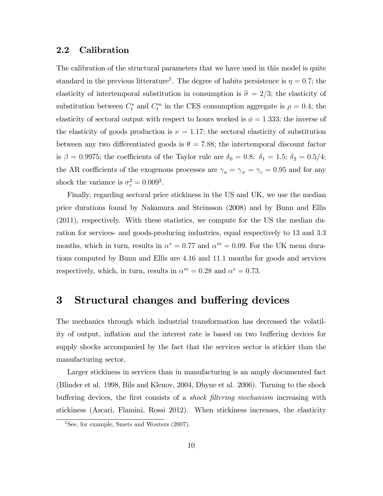### 2.2 Calibration

The calibration of the structural parameters that we have used in this model is quite standard in the previous litterature<sup>2</sup>. The degree of habits persistence is  $\eta = 0.7$ ; the elasticity of intertemporal substitution in consumption is  $\tilde{\sigma} = 2/3$ ; the elasticity of substitution between  $C_t^s$  and  $C_t^m$  in the CES consumption aggregate is  $\rho = 0.4$ ; the elasticity of sectoral output with respect to hours worked is  $\phi = 1.333$ ; the inverse of the elasticity of goods production is  $\nu = 1.17$ ; the sectoral elasticity of substitution between any two differentiated goods is  $\theta = 7.88$ ; the intertemporal discount factor is  $\beta = 0.9975$ ; the coefficients of the Taylor rule are  $\delta_0 = 0.8$ ;  $\delta_1 = 1.5$ ;  $\delta_2 = 0.5/4$ ; the AR coefficients of the exogenous processes are  $\gamma_a = \gamma_\psi = \gamma_c = 0.95$  and for any shock the variance is  $\sigma_{\varepsilon}^2 = 0.009^2$ .

Finally, regarding sectoral price stickiness in the US and UK, we use the median price durations found by Nakamura and Steinsson (2008) and by Bunn and Ellis (2011), respectively. With these statistics, we compute for the US the median duration for services- and goods-producing industries, equal respectively to 13 and 3:3 months, which in turn, results in  $\alpha^s = 0.77$  and  $\alpha^m = 0.09$ . For the UK mean durations computed by Bunn and Ellis are 4:16 and 11:1 months for goods and services respectively, which, in turn, results in  $\alpha^m = 0.28$  and  $\alpha^s = 0.73$ .

### 3 Structural changes and buffering devices

The mechanics through which industrial transformation has decreased the volatility of output, inflation and the interest rate is based on two buffering devices for supply shocks accompanied by the fact that the services sector is stickier than the manufacturing sector.

Larger stickiness in services than in manufacturing is an amply documented fact (Blinder et al. 1998, Bils and Klenov, 2004, Dhyne et al. 2006). Turning to the shock buffering devices, the first consists of a *shock filtering mechanism* increasing with stickiness (Ascari, Flamini, Rossi 2012). When stickiness increases, the elasticity

 $2$ See, for example, Smets and Wouters  $(2007)$ .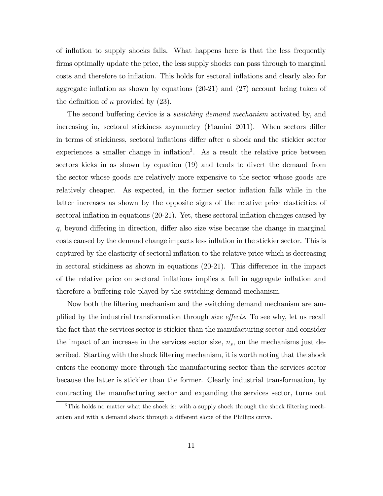of ináation to supply shocks falls. What happens here is that the less frequently firms optimally update the price, the less supply shocks can pass through to marginal costs and therefore to inflation. This holds for sectoral inflations and clearly also for aggregate inflation as shown by equations  $(20-21)$  and  $(27)$  account being taken of the definition of  $\kappa$  provided by (23).

The second buffering device is a *switching demand mechanism* activated by, and increasing in, sectoral stickiness asymmetry (Flamini 2011). When sectors differ in terms of stickiness, sectoral inflations differ after a shock and the stickier sector experiences a smaller change in inflation<sup>3</sup>. As a result the relative price between sectors kicks in as shown by equation (19) and tends to divert the demand from the sector whose goods are relatively more expensive to the sector whose goods are relatively cheaper. As expected, in the former sector inflation falls while in the latter increases as shown by the opposite signs of the relative price elasticities of sectoral inflation in equations  $(20-21)$ . Yet, these sectoral inflation changes caused by  $q$ , beyond differing in direction, differ also size wise because the change in marginal costs caused by the demand change impacts less inflation in the stickier sector. This is captured by the elasticity of sectoral inflation to the relative price which is decreasing in sectoral stickiness as shown in equations  $(20-21)$ . This difference in the impact of the relative price on sectoral ináations implies a fall in aggregate ináation and therefore a buffering role played by the switching demand mechanism.

Now both the filtering mechanism and the switching demand mechanism are amplified by the industrial transformation through *size effects*. To see why, let us recall the fact that the services sector is stickier than the manufacturing sector and consider the impact of an increase in the services sector size,  $n_s$ , on the mechanisms just described. Starting with the shock filtering mechanism, it is worth noting that the shock enters the economy more through the manufacturing sector than the services sector because the latter is stickier than the former. Clearly industrial transformation, by contracting the manufacturing sector and expanding the services sector, turns out

 $3$ This holds no matter what the shock is: with a supply shock through the shock filtering mechanism and with a demand shock through a different slope of the Phillips curve.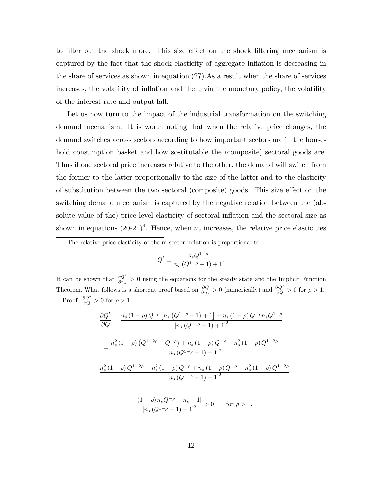to filter out the shock more. This size effect on the shock filtering mechanism is captured by the fact that the shock elasticity of aggregate ináation is decreasing in the share of services as shown in equation (27).As a result when the share of services increases, the volatility of inflation and then, via the monetary policy, the volatility of the interest rate and output fall.

Let us now turn to the impact of the industrial transformation on the switching demand mechanism. It is worth noting that when the relative price changes, the demand switches across sectors according to how important sectors are in the household consumption basket and how sostitutable the (composite) sectoral goods are. Thus if one sectoral price increases relative to the other, the demand will switch from the former to the latter proportionally to the size of the latter and to the elasticity of substitution between the two sectoral (composite) goods. This size effect on the switching demand mechanism is captured by the negative relation between the (absolute value of the) price level elasticity of sectoral ináation and the sectoral size as shown in equations  $(20-21)^4$ . Hence, when  $n_s$  increases, the relative price elasticities

$$
\overline{Q}^s \equiv \frac{n_s Q^{1-\rho}}{n_s \left(Q^{1-\rho}-1\right)+1}.
$$

It can be shown that  $\frac{\partial \overline{Q}^s}{\partial x^s}$  $\frac{\partial Q}{\partial n_s} > 0$  using the equations for the steady state and the Implicit Function Theorem. What follows is a shortcut proof based on  $\frac{\partial Q}{\partial n_s} > 0$  (numerically) and  $\frac{\partial \overline{Q}^s}{\partial Q} > 0$  for  $\rho > 1$ . Proof  $\frac{\partial Q^s}{\partial Q} > 0$  for  $\rho > 1$ :

$$
\frac{\partial \overline{Q}^s}{\partial Q} = \frac{n_s (1 - \rho) Q^{-\rho} \left[ n_s (Q^{1 - \rho} - 1) + 1 \right] - n_s (1 - \rho) Q^{-\rho} n_s Q^{1 - \rho}}{\left[ n_s (Q^{1 - \rho} - 1) + 1 \right]^2}
$$

$$
= \frac{n_s^2 (1 - \rho) (Q^{1 - 2\rho} - Q^{-\rho}) + n_s (1 - \rho) Q^{-\rho} - n_s^2 (1 - \rho) Q^{1 - 2\rho}}{\left[ n_s (Q^{1 - \rho} - 1) + 1 \right]^2}
$$

$$
= \frac{n_s^2 (1 - \rho) Q^{1 - 2\rho} - n_s^2 (1 - \rho) Q^{-\rho} + n_s (1 - \rho) Q^{-\rho} - n_s^2 (1 - \rho) Q^{1 - 2\rho}}{\left[ n_s (Q^{1 - \rho} - 1) + 1 \right]^2}
$$

$$
= \frac{(1 - \rho) n_s Q^{-\rho} \left[ -n_s + 1 \right]}{1 - \rho} > 0 \quad \text{for } \rho > 1
$$

$$
= \frac{(1-\rho) n_s Q^{-\rho} [-n_s + 1]}{[n_s (Q^{1-\rho} - 1) + 1]^2} > 0 \quad \text{for } \rho > 1.
$$

 $4$ The relative price elasticity of the m-sector inflation is proportional to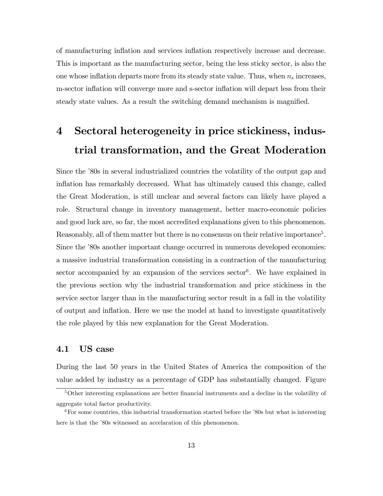of manufacturing ináation and services ináation respectively increase and decrease. This is important as the manufacturing sector, being the less sticky sector, is also the one whose inflation departs more from its steady state value. Thus, when  $n_s$  increases, m-sector inflation will converge more and s-sector inflation will depart less from their steady state values. As a result the switching demand mechanism is magnified.

# 4 Sectoral heterogeneity in price stickiness, industrial transformation, and the Great Moderation

Since the '80s in several industrialized countries the volatility of the output gap and inflation has remarkably decreased. What has ultimately caused this change, called the Great Moderation, is still unclear and several factors can likely have played a role. Structural change in inventory management, better macro-economic policies and good luck are, so far, the most accredited explanations given to this phenomenon. Reasonably, all of them matter but there is no consensus on their relative importance<sup>5</sup>. Since the '80s another important change occurred in numerous developed economies: a massive industrial transformation consisting in a contraction of the manufacturing sector accompanied by an expansion of the services  $\text{sector}^6$ . We have explained in the previous section why the industrial transformation and price stickiness in the service sector larger than in the manufacturing sector result in a fall in the volatility of output and inflation. Here we use the model at hand to investigate quantitatively the role played by this new explanation for the Great Moderation.

### 4.1 US case

During the last 50 years in the United States of America the composition of the value added by industry as a percentage of GDP has substantially changed. Figure

 $5$ Other interesting explanations are better financial instruments and a decline in the volatility of aggregate total factor productivity.

 $6$ For some countries, this industrial transformation started before the  $80s$  but what is interesting here is that the '80s witnessed an accelaration of this phenomenon.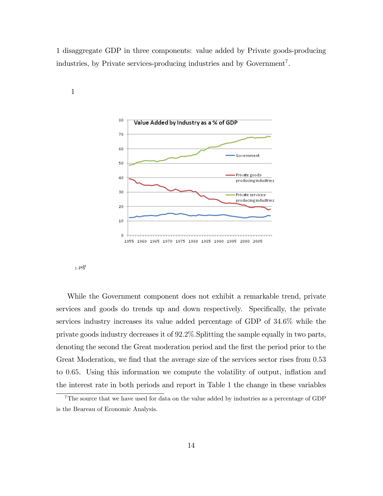1 disaggregate GDP in three components: value added by Private goods-producing industries, by Private services-producing industries and by Government<sup>7</sup>.



1

<sup>1</sup>:pdf

While the Government component does not exhibit a remarkable trend, private services and goods do trends up and down respectively. Specifically, the private services industry increases its value added percentage of GDP of 34:6% while the private goods industry decreases it of 92:2%:Splitting the sample equally in two parts, denoting the second the Great moderation period and the first the period prior to the Great Moderation, we find that the average size of the services sector rises from 0.53 to 0:65. Using this information we compute the volatility of output, ináation and the interest rate in both periods and report in Table 1 the change in these variables

<sup>&</sup>lt;sup>7</sup>The source that we have used for data on the value added by industries as a percentage of GDP is the Beareau of Economic Analysis.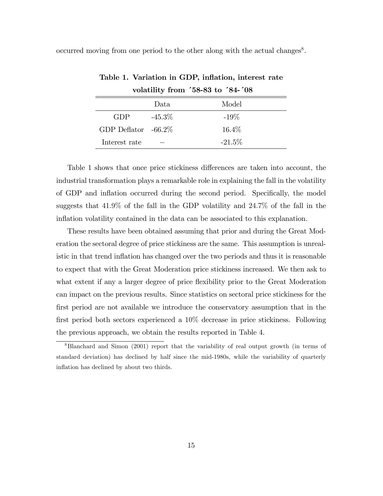occurred moving from one period to the other along with the actual changes<sup>8</sup>.

| . <del>.</del>         |           |          |
|------------------------|-----------|----------|
|                        | Data      | Model    |
| <b>GDP</b>             | $-45.3\%$ | $-19\%$  |
| GDP Deflator $-66.2\%$ |           | $16.4\%$ |
| Interest rate          |           | $-21.5%$ |

Table 1. Variation in GDP, inflation, interest rate volatility from  $58-83$  to  $34-708$ 

Table 1 shows that once price stickiness differences are taken into account, the industrial transformation plays a remarkable role in explaining the fall in the volatility of GDP and inflation occurred during the second period. Specifically, the model suggests that 41:9% of the fall in the GDP volatility and 24:7% of the fall in the inflation volatility contained in the data can be associated to this explanation.

These results have been obtained assuming that prior and during the Great Moderation the sectoral degree of price stickiness are the same. This assumption is unrealistic in that trend inflation has changed over the two periods and thus it is reasonable to expect that with the Great Moderation price stickiness increased. We then ask to what extent if any a larger degree of price flexibility prior to the Great Moderation can impact on the previous results. Since statistics on sectoral price stickiness for the first period are not available we introduce the conservatory assumption that in the first period both sectors experienced a  $10\%$  decrease in price stickiness. Following the previous approach, we obtain the results reported in Table 4.

<sup>8</sup>Blanchard and Simon (2001) report that the variability of real output growth (in terms of standard deviation) has declined by half since the mid-1980s, while the variability of quarterly inflation has declined by about two thirds.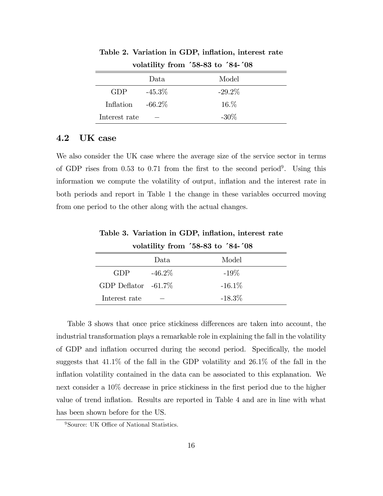|               | Data      | Model     |
|---------------|-----------|-----------|
| <b>GDP</b>    | $-45.3\%$ | $-29.2\%$ |
| Inflation     | $-66.2\%$ | $16.\%$   |
| Interest rate |           | $-30\%$   |

Table 2. Variation in GDP, inflation, interest rate volatility from  $58-83$  to  $84-708$ 

### 4.2 UK case

We also consider the UK case where the average size of the service sector in terms of GDP rises from 0.53 to 0.71 from the first to the second period<sup>9</sup>. Using this information we compute the volatility of output, inflation and the interest rate in both periods and report in Table 1 the change in these variables occurred moving from one period to the other along with the actual changes.

volatility from  $58-83$  to  $84-708$ Data Model

Table 3. Variation in GDP, inflation, interest rate

|                        | Data.     | Model     |
|------------------------|-----------|-----------|
| GDP.                   | $-46.2\%$ | $-19\%$   |
| GDP Deflator $-61.7\%$ |           | $-16.1\%$ |
| Interest rate          |           | $-18.3\%$ |

Table 3 shows that once price stickiness differences are taken into account, the industrial transformation plays a remarkable role in explaining the fall in the volatility of GDP and inflation occurred during the second period. Specifically, the model suggests that  $41.1\%$  of the fall in the GDP volatility and  $26.1\%$  of the fall in the inflation volatility contained in the data can be associated to this explanation. We next consider a 10% decrease in price stickiness in the first period due to the higher value of trend inflation. Results are reported in Table 4 and are in line with what has been shown before for the US.

<sup>&</sup>lt;sup>9</sup>Source: UK Office of National Statistics.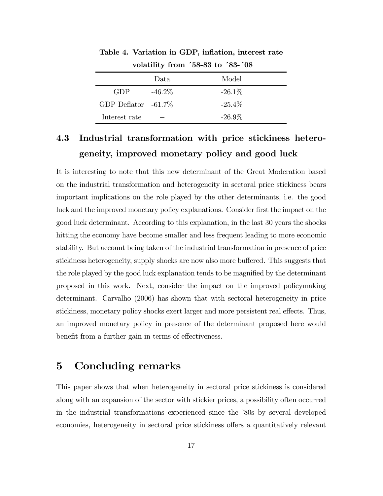|                        | Data.     | Model     |
|------------------------|-----------|-----------|
| GDP.                   | $-46.2\%$ | $-26.1\%$ |
| GDP Deflator $-61.7\%$ |           | $-25.4\%$ |
| Interest rate          |           | $-26.9\%$ |

Table 4. Variation in GDP, inflation, interest rate volatility from  $58-83$  to  $58-108$ 

## 4.3 Industrial transformation with price stickiness heterogeneity, improved monetary policy and good luck

It is interesting to note that this new determinant of the Great Moderation based on the industrial transformation and heterogeneity in sectoral price stickiness bears important implications on the role played by the other determinants, i.e. the good luck and the improved monetary policy explanations. Consider first the impact on the good luck determinant. According to this explanation, in the last 30 years the shocks hitting the economy have become smaller and less frequent leading to more economic stability. But account being taken of the industrial transformation in presence of price stickiness heterogeneity, supply shocks are now also more buffered. This suggests that the role played by the good luck explanation tends to be magnified by the determinant proposed in this work. Next, consider the impact on the improved policymaking determinant. Carvalho (2006) has shown that with sectoral heterogeneity in price stickiness, monetary policy shocks exert larger and more persistent real effects. Thus, an improved monetary policy in presence of the determinant proposed here would benefit from a further gain in terms of effectiveness.

### 5 Concluding remarks

This paper shows that when heterogeneity in sectoral price stickiness is considered along with an expansion of the sector with stickier prices, a possibility often occurred in the industrial transformations experienced since the  $\delta$ 80s by several developed economies, heterogeneity in sectoral price stickiness offers a quantitatively relevant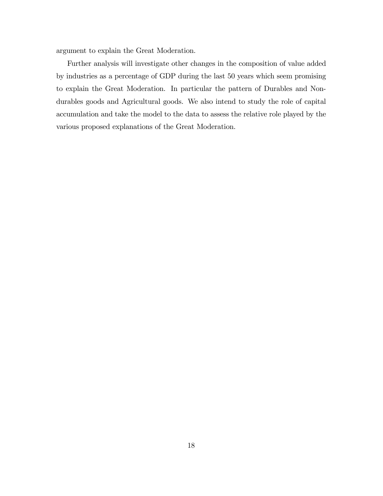argument to explain the Great Moderation.

Further analysis will investigate other changes in the composition of value added by industries as a percentage of GDP during the last 50 years which seem promising to explain the Great Moderation. In particular the pattern of Durables and Nondurables goods and Agricultural goods. We also intend to study the role of capital accumulation and take the model to the data to assess the relative role played by the various proposed explanations of the Great Moderation.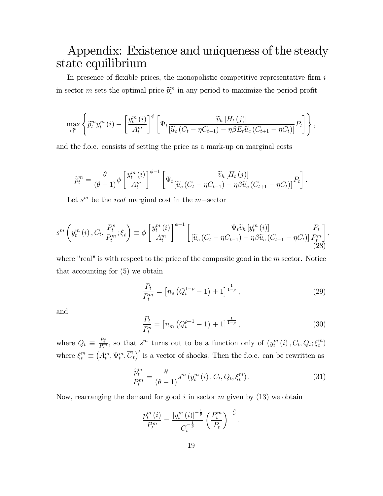## Appendix: Existence and uniqueness of the steady state equilibrium

In presence of flexible prices, the monopolistic competitive representative firm  $i$ in sector m sets the optimal price  $\tilde{p}_t^m$  in any period to maximize the period profit

$$
\max_{\widetilde{p}_t^m} \left\{ \widetilde{p}_t^m y_t^m (i) - \left[ \frac{y_t^m (i)}{A_t^m} \right]^\phi \left[ \Psi_t \frac{\widetilde{v}_h \left[ H_t (j) \right]}{\left[ \widetilde{u}_c \left( C_t - \eta C_{t-1} \right) - \eta \beta E_t \widetilde{u}_c \left( C_{t+1} - \eta C_t \right) \right]} P_t \right] \right\},\right\}
$$

and the f.o.c. consists of setting the price as a mark-up on marginal costs

$$
\widetilde{p}_t^m = \frac{\theta}{(\theta - 1)} \phi \left[ \frac{y_t^m(i)}{A_t^m} \right]^{\phi - 1} \left[ \Psi_t \frac{\widetilde{v}_h \left[ H_t(j) \right]}{\left[ \widetilde{u}_c \left( C_t - \eta C_{t-1} \right) - \eta \beta \widetilde{u}_c \left( C_{t+1} - \eta C_t \right) \right]} P_t \right].
$$

Let  $s^m$  be the *real* marginal cost in the *m*-sector

$$
s^{m}\left(y_{t}^{m}\left(i\right),C_{t},\frac{P_{t}^{s}}{P_{t}^{m}};\xi_{t}\right)\equiv\phi\left[\frac{y_{t}^{m}\left(i\right)}{A_{t}^{m}}\right]^{\phi-1}\left[\frac{\Psi_{t}\widetilde{v}_{h}\left[y_{t}^{m}\left(i\right)\right]}{\left[\widetilde{u}_{c}\left(C_{t}-\eta C_{t-1}\right)-\eta\beta\widetilde{u}_{c}\left(C_{t+1}-\eta C_{t}\right)\right]}\frac{P_{t}}{P_{t}^{m}}\right],\tag{28}
$$

where "real" is with respect to the price of the composite good in the  $m$  sector. Notice that accounting for (5) we obtain

$$
\frac{P_t}{P_t^m} = \left[ n_s \left( Q_t^{1-\rho} - 1 \right) + 1 \right]^{\frac{1}{1-\rho}}, \tag{29}
$$

and

$$
\frac{P_t}{P_t^s} = \left[ n_m \left( Q_t^{\rho - 1} - 1 \right) + 1 \right]^{\frac{1}{1 - \rho}}, \tag{30}
$$

where  $Q_t \equiv \frac{P_t^s}{P_t^m}$ , so that  $s^m$  turns out to be a function only of  $(y_t^m(i), C_t, Q_t; \xi_t^m)$  $\binom{m}{t}$ where  $\xi_t^m \equiv (A_t^m, \Psi_t^m, \overline{C}_t)'$  is a vector of shocks. Then the f.o.c. can be rewritten as

$$
\frac{\widetilde{p}_t^m}{P_t^m} = \frac{\theta}{(\theta - 1)} s^m \left( y_t^m \left( i \right), C_t, Q_t; \xi_t^m \right). \tag{31}
$$

Now, rearranging the demand for good i in sector  $m$  given by (13) we obtain

$$
\frac{p_t^m(i)}{P_t^m} = \frac{\left[y_t^m(i)\right]^{-\frac{1}{\theta}}}{C_t^{-\frac{1}{\theta}}} \left(\frac{P_t^m}{P_t}\right)^{-\frac{\rho}{\theta}}.
$$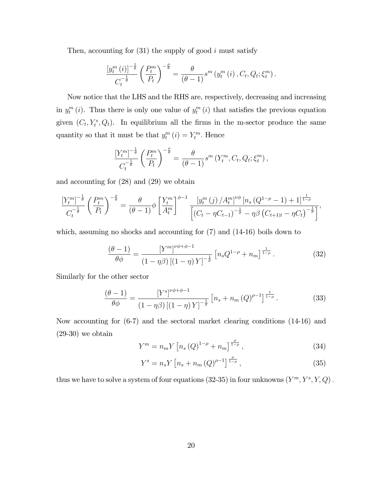Then, accounting for  $(31)$  the supply of good i must satisfy

$$
\frac{\left[y_t^m(i)\right]^{-\frac{1}{\theta}}}{C_t^{-\frac{1}{\theta}}} \left(\frac{P_t^m}{P_t}\right)^{-\frac{\theta}{\theta}} = \frac{\theta}{(\theta-1)} s^m \left(y_t^m(i), C_t, Q_t; \xi_t^m\right).
$$

Now notice that the LHS and the RHS are, respectively, decreasing and increasing in  $y_t^m(i)$ . Thus there is only one value of  $y_t^m(i)$  that satisfies the previous equation given  $(C_t, Y_t^s, Q_t)$ . In equilibrium all the firms in the m-sector produce the same quantity so that it must be that  $y_t^m(i) = Y_t^m$ . Hence

$$
\frac{\left[Y_t^m\right]^{-\frac{1}{\theta}}}{C_t^{-\frac{1}{\theta}}} \left(\frac{P_t^m}{P_t}\right)^{-\frac{\theta}{\theta}} = \frac{\theta}{(\theta-1)} s^m \left(Y_t^m, C_t, Q_t; \xi_t^m\right),
$$

and accounting for (28) and (29) we obtain

$$
\frac{\left[Y_t^m\right]^{-\frac{1}{\theta}}}{C_t^{-\frac{1}{\theta}}}\left(\frac{P_t^m}{P_t}\right)^{-\frac{\theta}{\theta}}=\frac{\theta}{(\theta-1)}\phi\left[\frac{Y_t^m}{A_t^m}\right]^{\phi-1}\frac{\left[y_t^m\left(j\right)/A_t^m\right]^{\nu\phi}\left[n_s\left(Q^{1-\rho}-1\right)+1\right]^{\frac{1}{1-\rho}}}{\left[\left(C_t-\eta C_{t-1}\right)^{-\frac{1}{\theta}}-\eta\beta\left(C_{t+1|t}-\eta C_t\right)^{-\frac{1}{\theta}}\right]},
$$

which, assuming no shocks and accounting for (7) and (14-16) boils down to

$$
\frac{(\theta - 1)}{\theta \phi} = \frac{\left[Y^{m}\right]^{\nu \phi + \phi - 1}}{\left(1 - \eta \beta\right)\left[\left(1 - \eta\right)Y\right]^{-\frac{1}{\tilde{\sigma}}}} \left[n_s Q^{1 - \rho} + n_m\right]^{\frac{1}{1 - \rho}}.
$$
\n(32)

Similarly for the other sector

$$
\frac{(\theta - 1)}{\theta \phi} = \frac{\left[Y^s\right]^{\nu \phi + \phi - 1}}{\left(1 - \eta \beta\right) \left[\left(1 - \eta\right) Y\right]^{-\frac{1}{\sigma}}} \left[n_s + n_m \left(Q\right)^{\rho - 1}\right]^{\frac{1}{1 - \rho}}.
$$
\n(33)

Now accounting for (6-7) and the sectoral market clearing conditions (14-16) and  $(29-30)$  we obtain

$$
Y^{m} = n_{m} Y \left[ n_{s} \left( Q \right)^{1-\rho} + n_{m} \right]^{\frac{\rho}{1-\rho}}, \tag{34}
$$

$$
Y^{s} = n_{s} Y \left[ n_{s} + n_{m} \left( Q \right)^{\rho - 1} \right]^{\frac{\rho}{1 - \rho}}, \tag{35}
$$

thus we have to solve a system of four equations  $(32\n-35)$  in four unknowns  $(Y^m, Y^s, Y, Q)$ .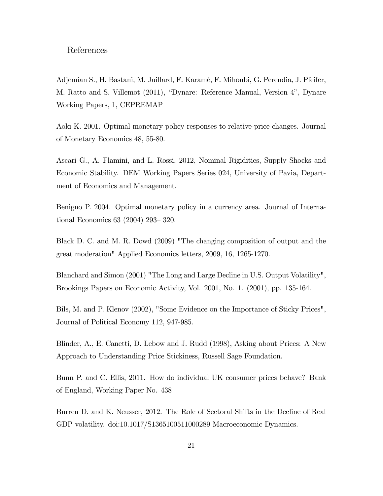#### References

Adjemian S., H. Bastani, M. Juillard, F. Karamé, F. Mihoubi, G. Perendia, J. Pfeifer, M. Ratto and S. Villemot (2011), "Dynare: Reference Manual, Version 4", Dynare Working Papers, 1, CEPREMAP

Aoki K. 2001. Optimal monetary policy responses to relative-price changes. Journal of Monetary Economics 48, 55-80.

Ascari G., A. Flamini, and L. Rossi, 2012, Nominal Rigidities, Supply Shocks and Economic Stability. DEM Working Papers Series 024, University of Pavia, Department of Economics and Management.

Benigno P. 2004. Optimal monetary policy in a currency area. Journal of International Economics  $63$   $(2004)$   $293-320$ .

Black D. C. and M. R. Dowd (2009) "The changing composition of output and the great moderation" Applied Economics letters, 2009, 16, 1265-1270.

Blanchard and Simon (2001) "The Long and Large Decline in U.S. Output Volatility", Brookings Papers on Economic Activity, Vol. 2001, No. 1. (2001), pp. 135-164.

Bils, M. and P. Klenov (2002), "Some Evidence on the Importance of Sticky Prices", Journal of Political Economy 112, 947-985.

Blinder, A., E. Canetti, D. Lebow and J. Rudd (1998), Asking about Prices: A New Approach to Understanding Price Stickiness, Russell Sage Foundation.

Bunn P. and C. Ellis, 2011. How do individual UK consumer prices behave? Bank of England, Working Paper No. 438

Burren D. and K. Neusser, 2012. The Role of Sectoral Shifts in the Decline of Real GDP volatility. doi:10.1017/S1365100511000289 Macroeconomic Dynamics.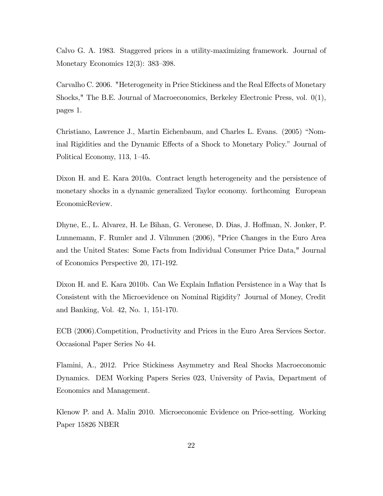Calvo G. A. 1983. Staggered prices in a utility-maximizing framework. Journal of Monetary Economics  $12(3)$ : 383–398.

Carvalho C. 2006. "Heterogeneity in Price Stickiness and the Real Effects of Monetary Shocks," The B.E. Journal of Macroeconomics, Berkeley Electronic Press, vol. 0(1), pages 1.

Christiano, Lawrence J., Martin Eichenbaum, and Charles L. Evans. (2005) "Nominal Rigidities and the Dynamic Effects of a Shock to Monetary Policy." Journal of Political Economy, 113,  $1-45$ .

Dixon H. and E. Kara 2010a. Contract length heterogeneity and the persistence of monetary shocks in a dynamic generalized Taylor economy. forthcoming European EconomicReview.

Dhyne, E., L. Alvarez, H. Le Bihan, G. Veronese, D. Dias, J. Hoffman, N. Jonker, P. Lunnemann, F. Rumler and J. Vilmunen (2006), "Price Changes in the Euro Area and the United States: Some Facts from Individual Consumer Price Data," Journal of Economics Perspective 20, 171-192.

Dixon H. and E. Kara 2010b. Can We Explain Inflation Persistence in a Way that Is Consistent with the Microevidence on Nominal Rigidity? Journal of Money, Credit and Banking, Vol. 42, No. 1, 151-170.

ECB (2006).Competition, Productivity and Prices in the Euro Area Services Sector. Occasional Paper Series No 44.

Flamini, A., 2012. Price Stickiness Asymmetry and Real Shocks Macroeconomic Dynamics. DEM Working Papers Series 023, University of Pavia, Department of Economics and Management.

Klenow P. and A. Malin 2010. Microeconomic Evidence on Price-setting. Working Paper 15826 NBER